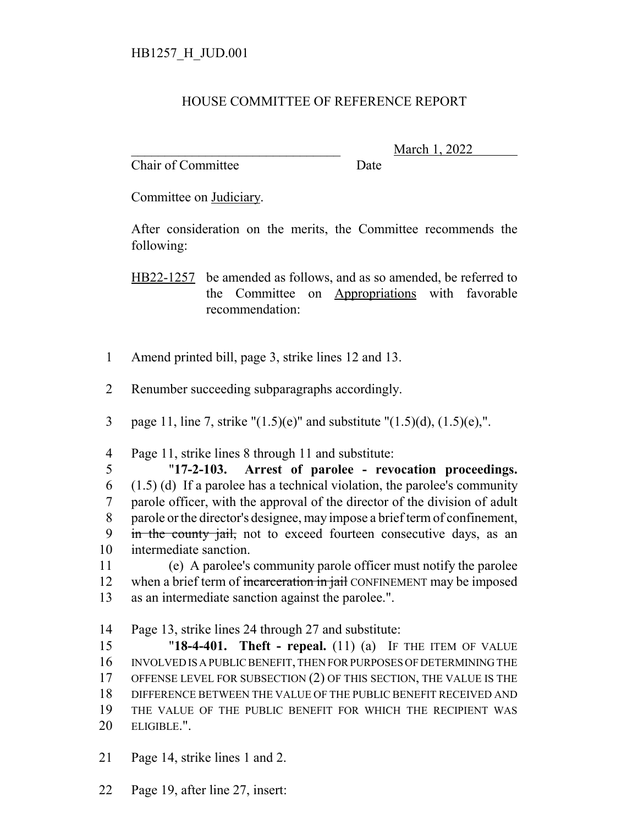## HOUSE COMMITTEE OF REFERENCE REPORT

Chair of Committee Date

\_\_\_\_\_\_\_\_\_\_\_\_\_\_\_\_\_\_\_\_\_\_\_\_\_\_\_\_\_\_\_ March 1, 2022

Committee on Judiciary.

After consideration on the merits, the Committee recommends the following:

HB22-1257 be amended as follows, and as so amended, be referred to the Committee on Appropriations with favorable recommendation:

- 1 Amend printed bill, page 3, strike lines 12 and 13.
- 2 Renumber succeeding subparagraphs accordingly.
- 3 page 11, line 7, strike " $(1.5)(e)$ " and substitute " $(1.5)(d)$ ,  $(1.5)(e)$ ,".

4 Page 11, strike lines 8 through 11 and substitute:

 "**17-2-103. Arrest of parolee - revocation proceedings.**  $(1.5)$  (d) If a parolee has a technical violation, the parolee's community parole officer, with the approval of the director of the division of adult parole or the director's designee, may impose a brief term of confinement, 9 in the county jail, not to exceed fourteen consecutive days, as an intermediate sanction.

11 (e) A parolee's community parole officer must notify the parolee 12 when a brief term of incarceration in jail CONFINEMENT may be imposed 13 as an intermediate sanction against the parolee.".

14 Page 13, strike lines 24 through 27 and substitute:

 "**18-4-401. Theft - repeal.** (11) (a) IF THE ITEM OF VALUE INVOLVED IS A PUBLIC BENEFIT, THEN FOR PURPOSES OF DETERMINING THE OFFENSE LEVEL FOR SUBSECTION (2) OF THIS SECTION, THE VALUE IS THE DIFFERENCE BETWEEN THE VALUE OF THE PUBLIC BENEFIT RECEIVED AND THE VALUE OF THE PUBLIC BENEFIT FOR WHICH THE RECIPIENT WAS ELIGIBLE.".

- 21 Page 14, strike lines 1 and 2.
- 22 Page 19, after line 27, insert: